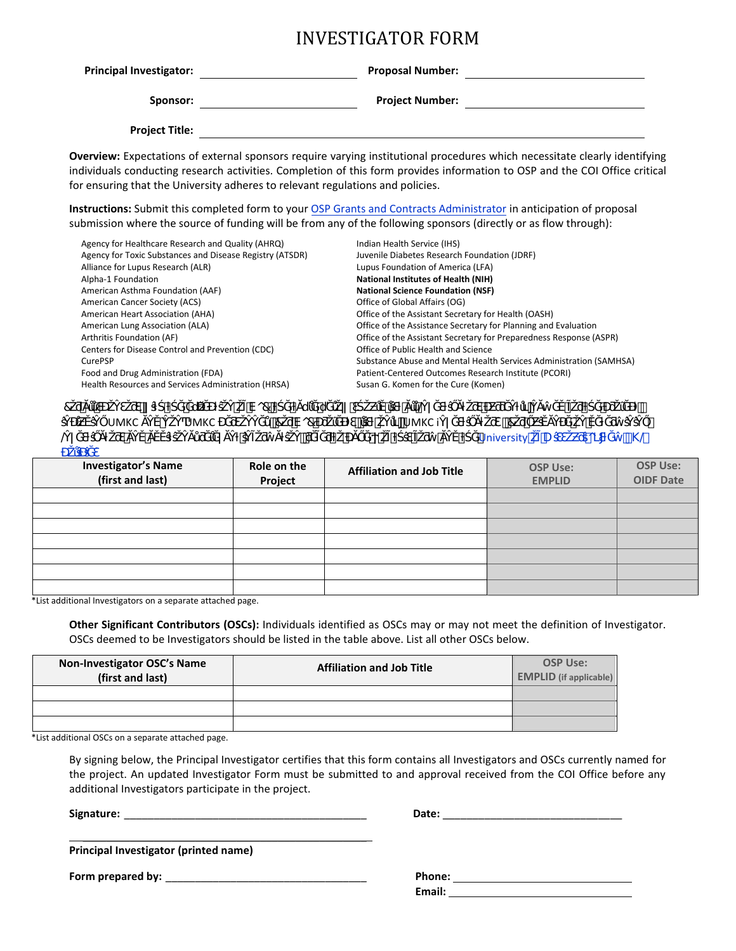# INVESTIGATOR FORM

| <b>Principal Investigator:</b> | <b>Proposal Number:</b> |  |
|--------------------------------|-------------------------|--|
| Sponsor:                       | <b>Project Number:</b>  |  |
| <b>Project Title:</b>          |                         |  |

**Overview:** Expectations of external sponsors require varying institutional procedures which necessitate clearly identifying individuals conducting research activities. Completion of this form provides information to OSP and the COI Office critical for ensuring that the University adheres to relevant regulations and policies.

**Instructions:** Submit this completed form to your OSP Grants and Contracts Administrator in anticipation of proposal submission where the source of funding will be from any of the following sponsors (directly or as flow through):

| Agency for Healthcare Research and Quality (AHRQ)<br>Agency for Toxic Substances and Disease Registry (ATSDR)<br>Alliance for Lupus Research (ALR)<br>Alpha-1 Foundation<br>American Asthma Foundation (AAF)<br>American Cancer Society (ACS)<br>American Heart Association (AHA)<br>American Lung Association (ALA)<br>Arthritis Foundation (AF)<br>Centers for Disease Control and Prevention (CDC) | Indian Health Service (IHS)<br>Juvenile Diabetes Research Foundation (JDRF)<br>Lupus Foundation of America (LFA)<br><b>National Institutes of Health (NIH)</b><br><b>National Science Foundation (NSF)</b><br>Office of Global Affairs (OG)<br>Office of the Assistant Secretary for Health (OASH)<br>Office of the Assistance Secretary for Planning and Evaluation<br>Office of the Assistant Secretary for Preparedness Response (ASPR)<br>Office of Public Health and Science |
|-------------------------------------------------------------------------------------------------------------------------------------------------------------------------------------------------------------------------------------------------------------------------------------------------------------------------------------------------------------------------------------------------------|-----------------------------------------------------------------------------------------------------------------------------------------------------------------------------------------------------------------------------------------------------------------------------------------------------------------------------------------------------------------------------------------------------------------------------------------------------------------------------------|
|                                                                                                                                                                                                                                                                                                                                                                                                       |                                                                                                                                                                                                                                                                                                                                                                                                                                                                                   |
| CurePSP                                                                                                                                                                                                                                                                                                                                                                                               | Substance Abuse and Mental Health Services Administration (SAMHSA)                                                                                                                                                                                                                                                                                                                                                                                                                |
| Food and Drug Administration (FDA)<br>Health Resources and Services Administration (HRSA)                                                                                                                                                                                                                                                                                                             | Patient-Centered Outcomes Research Institute (PCORI)<br>Susan G. Komen for the Cure (Komen)                                                                                                                                                                                                                                                                                                                                                                                       |
|                                                                                                                                                                                                                                                                                                                                                                                                       |                                                                                                                                                                                                                                                                                                                                                                                                                                                                                   |

|                 |      |      | 7∩7 |     |  | $\alpha$ and $\alpha$ and $\alpha$ |                                                                                                                                                                                                                               |              |                |          |
|-----------------|------|------|-----|-----|--|------------------------------------|-------------------------------------------------------------------------------------------------------------------------------------------------------------------------------------------------------------------------------|--------------|----------------|----------|
|                 | UMKC | UMKC |     | Vo7 |  | ¨UMKC i                            |                                                                                                                                                                                                                               |              |                |          |
| $^{\copyright}$ |      |      |     |     |  |                                    | the control of the control of the control of the control of the control of the control of the control of the control of the control of the control of the control of the control of the control of the control of the control | University U | $\overline{O}$ | $\#\}$ @ |

| <b>Investigator's Name</b><br>(first and last) | Role on the<br>Project | <b>Affiliation and Job Title</b> | <b>OSP Use:</b><br><b>EMPLID</b> | <b>OSP Use:</b><br><b>OIDF Date</b> |
|------------------------------------------------|------------------------|----------------------------------|----------------------------------|-------------------------------------|
|                                                |                        |                                  |                                  |                                     |
|                                                |                        |                                  |                                  |                                     |
|                                                |                        |                                  |                                  |                                     |
|                                                |                        |                                  |                                  |                                     |
|                                                |                        |                                  |                                  |                                     |
|                                                |                        |                                  |                                  |                                     |
|                                                |                        |                                  |                                  |                                     |

\*List additional Investigators on a separate attached page.

**Other Significant Contributors (OSCs):** Individuals identified as OSCs may or may not meet the definition of Investigator. OSCs deemed to be Investigators should be listed in the table above. List all other OSCs below.

| Non-Investigator OSC's Name<br>(first and last) | <b>Affiliation and Job Title</b> | <b>OSP Use:</b><br><b>EMPLID</b> (if applicable) |  |
|-------------------------------------------------|----------------------------------|--------------------------------------------------|--|
|                                                 |                                  |                                                  |  |
|                                                 |                                  |                                                  |  |
|                                                 |                                  |                                                  |  |

\*List additional OSCs on a separate attached page.

By signing below, the Principal Investigator certifies that this form contains all Investigators and OSCs currently named for the project. An updated Investigator Form must be submitted to and approval received from the COI Office before any additional Investigators participate in the project.

**Signature:** \_\_\_\_\_\_\_\_\_\_\_\_\_\_\_\_\_\_\_\_\_\_\_\_\_\_\_\_\_\_\_\_\_\_\_\_\_\_\_\_\_ **Date:** \_\_\_\_\_\_\_\_\_\_\_\_\_\_\_\_\_\_\_\_\_\_\_\_\_\_\_\_\_\_

| ate: |  |           |  |  |
|------|--|-----------|--|--|
|      |  | _________ |  |  |

**Principal Investigator (printed name)** 

 $\frac{1}{2}$  ,  $\frac{1}{2}$  ,  $\frac{1}{2}$  ,  $\frac{1}{2}$  ,  $\frac{1}{2}$  ,  $\frac{1}{2}$  ,  $\frac{1}{2}$  ,  $\frac{1}{2}$  ,  $\frac{1}{2}$  ,  $\frac{1}{2}$  ,  $\frac{1}{2}$  ,  $\frac{1}{2}$  ,  $\frac{1}{2}$  ,  $\frac{1}{2}$  ,  $\frac{1}{2}$  ,  $\frac{1}{2}$  ,  $\frac{1}{2}$  ,  $\frac{1}{2}$  ,  $\frac{1$ 

**Form prepared by:** \_\_\_\_\_\_\_\_\_\_\_\_\_\_\_\_\_\_\_\_\_\_\_\_\_\_\_\_\_\_\_\_\_\_ **Phone:** 

| Phone: |  |
|--------|--|
| Email: |  |